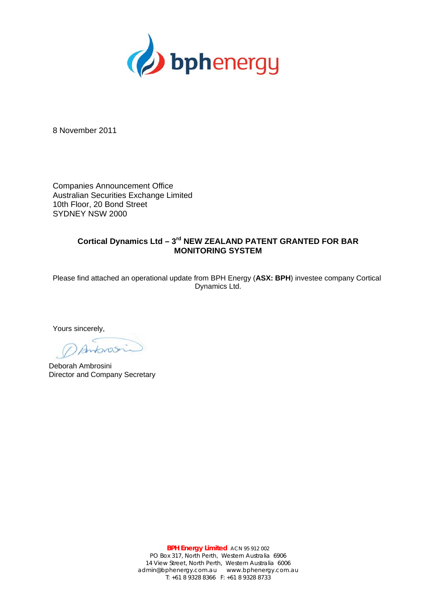

8 November 2011

Companies Announcement Office Australian Securities Exchange Limited 10th Floor, 20 Bond Street SYDNEY NSW 2000

## **Cortical Dynamics Ltd – 3rd NEW ZEALAND PATENT GRANTED FOR BAR MONITORING SYSTEM**

Please find attached an operational update from BPH Energy (**ASX: BPH**) investee company Cortical Dynamics Ltd.

Yours sincerely,

 $425$ 

Deborah Ambrosini Director and Company Secretary

**BPH Energy Limited** ACN 95 912 002 PO Box 317, North Perth, Western Australia 6906 14 View Street, North Perth, Western Australia 6006 admin@bphenergy.com.au www.bphenergy.com.au T: +61 8 9328 8366 F: +61 8 9328 8733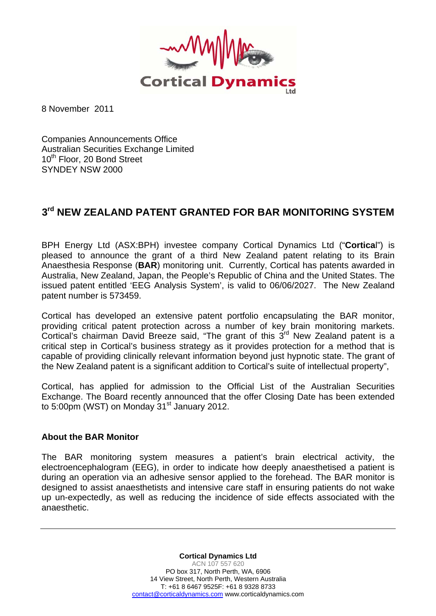

8 November 2011

Companies Announcements Office Australian Securities Exchange Limited 10<sup>th</sup> Floor, 20 Bond Street SYNDEY NSW 2000

## **3rd NEW ZEALAND PATENT GRANTED FOR BAR MONITORING SYSTEM**

BPH Energy Ltd (ASX:BPH) investee company Cortical Dynamics Ltd ("**Cortica**l") is pleased to announce the grant of a third New Zealand patent relating to its Brain Anaesthesia Response (**BAR**) monitoring unit. Currently, Cortical has patents awarded in Australia, New Zealand, Japan, the People's Republic of China and the United States. The issued patent entitled 'EEG Analysis System', is valid to 06/06/2027. The New Zealand patent number is 573459.

Cortical has developed an extensive patent portfolio encapsulating the BAR monitor, providing critical patent protection across a number of key brain monitoring markets. Cortical's chairman David Breeze said, "The grant of this  $3<sup>rd</sup>$  New Zealand patent is a critical step in Cortical's business strategy as it provides protection for a method that is capable of providing clinically relevant information beyond just hypnotic state. The grant of the New Zealand patent is a significant addition to Cortical's suite of intellectual property",

Cortical, has applied for admission to the Official List of the Australian Securities Exchange. The Board recently announced that the offer Closing Date has been extended to 5:00pm (WST) on Monday  $31<sup>st</sup>$  January 2012.

## **About the BAR Monitor**

The BAR monitoring system measures a patient's brain electrical activity, the electroencephalogram (EEG), in order to indicate how deeply anaesthetised a patient is during an operation via an adhesive sensor applied to the forehead. The BAR monitor is designed to assist anaesthetists and intensive care staff in ensuring patients do not wake up un-expectedly, as well as reducing the incidence of side effects associated with the anaesthetic.

> **Cortical Dynamics Ltd**  ACN 107 557 620 PO box 317, North Perth, WA, 6906 14 View Street, North Perth, Western Australia T: +61 8 6467 9525F: +61 8 9328 8733 contact@corticaldynamics.com www.corticaldynamics.com